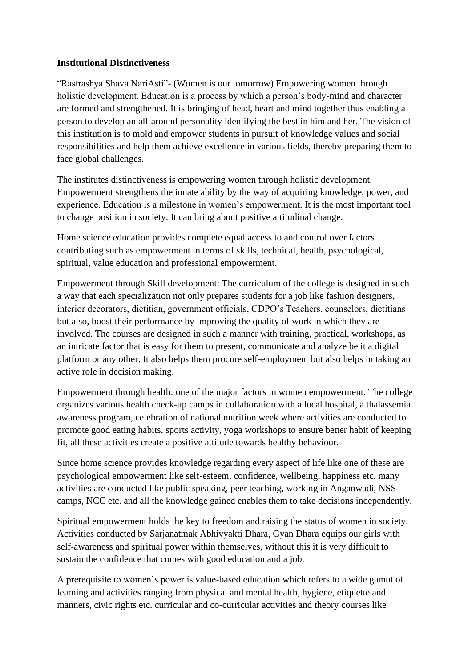## **Institutional Distinctiveness**

"Rastrashya Shava NariAsti"- (Women is our tomorrow) Empowering women through holistic development. Education is a process by which a person's body-mind and character are formed and strengthened. It is bringing of head, heart and mind together thus enabling a person to develop an all-around personality identifying the best in him and her. The vision of this institution is to mold and empower students in pursuit of knowledge values and social responsibilities and help them achieve excellence in various fields, thereby preparing them to face global challenges.

The institutes distinctiveness is empowering women through holistic development. Empowerment strengthens the innate ability by the way of acquiring knowledge, power, and experience. Education is a milestone in women's empowerment. It is the most important tool to change position in society. It can bring about positive attitudinal change.

Home science education provides complete equal access to and control over factors contributing such as empowerment in terms of skills, technical, health, psychological, spiritual, value education and professional empowerment.

Empowerment through Skill development: The curriculum of the college is designed in such a way that each specialization not only prepares students for a job like fashion designers, interior decorators, dietitian, government officials, CDPO's Teachers, counselors, dietitians but also, boost their performance by improving the quality of work in which they are involved. The courses are designed in such a manner with training, practical, workshops, as an intricate factor that is easy for them to present, communicate and analyze be it a digital platform or any other. It also helps them procure self-employment but also helps in taking an active role in decision making.

Empowerment through health: one of the major factors in women empowerment. The college organizes various health check-up camps in collaboration with a local hospital, a thalassemia awareness program, celebration of national nutrition week where activities are conducted to promote good eating habits, sports activity, yoga workshops to ensure better habit of keeping fit, all these activities create a positive attitude towards healthy behaviour.

Since home science provides knowledge regarding every aspect of life like one of these are psychological empowerment like self-esteem, confidence, wellbeing, happiness etc. many activities are conducted like public speaking, peer teaching, working in Anganwadi, NSS camps, NCC etc. and all the knowledge gained enables them to take decisions independently.

Spiritual empowerment holds the key to freedom and raising the status of women in society. Activities conducted by Sarjanatmak Abhivyakti Dhara, Gyan Dhara equips our girls with self-awareness and spiritual power within themselves, without this it is very difficult to sustain the confidence that comes with good education and a job.

A prerequisite to women's power is value-based education which refers to a wide gamut of learning and activities ranging from physical and mental health, hygiene, etiquette and manners, civic rights etc. curricular and co-curricular activities and theory courses like